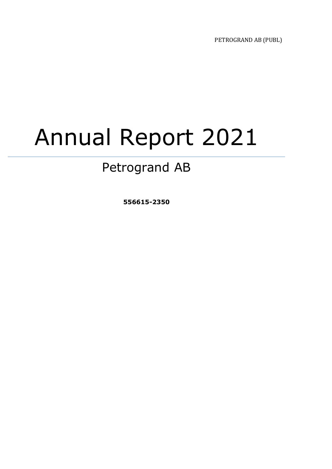PETROGRAND AB (PUBL)

# Annual Report 2021

## Petrogrand AB

**556615-2350**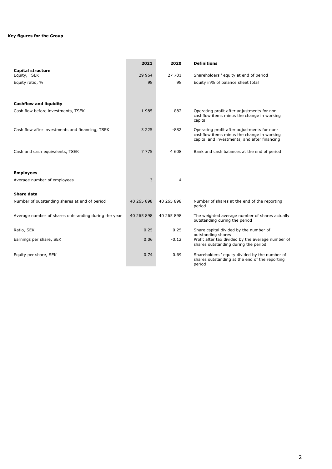## **Key figures for the Group**

|                                                      | 2021       | 2020           | <b>Definitions</b>                                                                                                                        |
|------------------------------------------------------|------------|----------------|-------------------------------------------------------------------------------------------------------------------------------------------|
| <b>Capital structure</b><br>Equity, TSEK             | 29 9 64    | 27 701         | Shareholders ' equity at end of period                                                                                                    |
| Equity ratio, %                                      | 98         | 98             | Equity in% of balance sheet total                                                                                                         |
| <b>Cashflow and liquidity</b>                        |            |                |                                                                                                                                           |
| Cash flow before investments, TSEK                   | $-1985$    | $-882$         | Operating profit after adjustments for non-<br>cashflow items minus the change in working<br>capital                                      |
| Cash flow after investments and financing, TSEK      | 3 2 2 5    | $-882$         | Operating profit after adjustments for non-<br>cashflow items minus the change in working<br>capital and investments, and after financing |
| Cash and cash equivalents, TSEK                      | 7 7 7 5    | 4 608          | Bank and cash balances at the end of period                                                                                               |
| <b>Employees</b>                                     |            |                |                                                                                                                                           |
| Average number of employees                          | 3          | $\overline{4}$ |                                                                                                                                           |
| Share data                                           |            |                |                                                                                                                                           |
| Number of outstanding shares at end of period        | 40 265 898 | 40 265 898     | Number of shares at the end of the reporting<br>period                                                                                    |
| Average number of shares outstanding during the year | 40 265 898 | 40 265 898     | The weighted average number of shares actually<br>outstanding during the period                                                           |
| Ratio, SEK                                           | 0.25       | 0.25           | Share capital divided by the number of                                                                                                    |
| Earnings per share, SEK                              | 0.06       | $-0.12$        | outstanding shares<br>Profit after tax divided by the average number of<br>shares outstanding during the period                           |
| Equity per share, SEK                                | 0.74       | 0.69           | Shareholders ' equity divided by the number of<br>shares outstanding at the end of the reporting<br>period                                |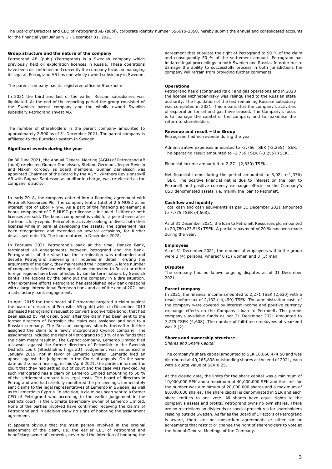The Board of Directors and CEO of Petrogrand AB (publ), corporate identity number 556615-2350, hereby submit the annual and consolidated accounts for the financial year January 1 - December 31, 2021.

#### **Group structure and the nature of the company**

Petrogrand AB (publ) (Petrogrand) is a Swedish company which previously held oil exploration licences in Russia. These operations have been discontinued and currently the company focus on managing its capital. Petrogrand AB has one wholly owned subsidiary in Sweden.

The parent company has its registered office in Stockholm.

In 2021 the third and last of the earlier Russian subsidiaries was liquidated. At the end of the reporting period the group consisted of the Swedish parent company and the wholly owned Swedish subsidiary Petrogrand Invest AB.

The number of shareholders in the parent company amounted to approximately 2,500 as of 31 December 2021. The parent company is affiliated to the Euroclear system in Sweden.

#### **Significant events during the year**

On 30 June 2021, the Annual General Meeting (AGM) of Petrogrand AB (publ) re-elected Gunnar Danielsson, Stefano Germani, Jesper Sevelin and Maxim Korobov as board members. Gunnar Danielsson was appointed Chairman of the Board by the AGM. Winthers Revisionsbyrå AB with Ragnar Santesson as auditor in charge, was re-elected as the company´s auditor.

In early 2018, the company entered into a financing agreement with Petroneft Resources Plc. The company lent a total of 2.5 MUSD at an interest rate of Libor + 9%. As a part of the financing agreement a bonus component of 2.5 MUSD per license is included if either or both licenses are sold. The bonus component is valid for a period even after the loan is fully repaid. Petroneft is actively seeking to divest both their licenses while in parallel developing the assets. The agreement has been renegotiated and extended on several occasions, for further details see note 10. The loan matures in December 2022.

In February 2021 Petrogrand's bank at the time, Danske Bank, terminated all engagements between Petrogrand and the bank. Petrogrand is of the view that the termination was unfounded and despite Petrogrand answering all inquiries in detail, refuting the arguments of the bank, they maintained their position. A large number of companies in Sweden with operations connected to Russia or other foreign regions have been affected by similar terminations by Swedish banks. The actions by the bank put the company in a dire situation. After extensive efforts Petrogrand has established new bank relations with a large international European bank and as of the end of 2021 has a satisfactory bank engagement.

In April 2015 the then board of Petrogrand targeted a claim against the board of directors of Petrosibir AB (publ) which in December 2013 dismissed Petrogrand's request to convert a convertible bond, that had been issued by Petrosibir. Soon after the claim had been sent to the former directors of Petrosibir the claim was assigned and sold to a Russian company. The Russian company shortly thereafter further assigned the claim to a newly incorporated Cypriot company. The assignments included the right of Petrogrand to 50 % of any funds that the claim might result in. The Cypriot company, Lemerdo Limited filed a lawsuit against the former directors of Petrosibir in the Swedish Districts court (Stockholms tingsrätt). Judgement was announced in January 2019, not in favor of Lemerdo Limited. Lemerdo filed an appeal against the judgement in the Court of appeals. On the same date as the main hearing, in mid-April 2021, the parties informed the court that they had settled out of court and the case was revoked. As such Petrogrand has a claim on Lemerdo Limited amounting to 50 % of the settlement amount less legal costs. The board of directors in Petrogrand who had carefully monitored the proceedings, immediately sent claims to the legal representatives of Lemerdo in Sweden, as well as to Lemerdo in Cyprus. In addition, a claim has been sent to a former CEO of Petrogrand who according to the earlier judgement in the Districts court, is the ultimate beneficiary owner of Lemerdo Limited. None of the parties involved have confirmed receiving the claims of Petrogrand and in addition show no signs of honoring the assignment agreement.

It appears obvious that the main person involved in the original assignment of the claim, i.e. the earlier CEO of Petrogrand and beneficiary owner of Lemerdo, never had the intention of honoring the agreement that stipulate the right of Petrogrand to 50 % of the claim and consequently 50 % of the settlement amount. Petrogrand has initiated legal proceedings in both Sweden and Russia. In order not to damage the ability to successfully process in both jurisdictions the company will refrain from providing further comments.

#### **Operations**

Petrogrand has discontinued its oil and gas operations and in 2020 the license Nizhnepaninsky was relinquished to the Russian state authority. The liquidation of the last remaining Russian subsidiary was completed in 2021. This means that the company's activities of exploration for oil and gas have ceased. The Company's focus is to manage the capital of the company and to maximise the return to shareholders.

#### **Revenue and result – the Group**

Petrogrand had no revenue during the year.

Administrative expenses amounted to -2,756 TSEK (-3,255) TSEK. The operating result amounted to -2,756 TSEK (-3,255) TSEK.

Financial income amounted to 2,271 (2,630) TSEK.

Net financial items during the period amounted to 5,024 (-1,376) TSEK**.** The positive financial net is due to interest on the loan to Petroneft and positive currency exchange effects on the Company's USD denominated assets, i.e. mainly the loan to Petroneft.

#### **Cashflow and liquidity**

Total cash and cash equivalents as per 31 December 2021 amounted to 7,775 TSEK (4,608).

As of 31 December 2021, the loan to Petroneft Resources plc amounted to 20,780 (23,519) TSEK. A partial repayment of 20 % has been made during the year.

#### **Employees**

As of 31 December 2021, the number of employees within the group were  $3(4)$  persons, whereof  $0(1)$  women and  $3(3)$  men.

#### **Disputes**

The company had no known ongoing disputes as of 31 December 2021.

#### **Parent company**

In 2021, the financial income amounted to 2,271 TSEK (2,630) with a result before tax of 2,132 (-4,450) TSEK. The administration costs of the company were covered by interest income and positive currency exchange effects on the Company's loan to Petroneft. The parent company's available funds as per 31 December 2021 amounted to 7,775 TSEK (4,608). The number of full-time employees at year-end was 2 (2).

#### **Shares and ownership structure**

*Shares and Share Capital*

The company's share capital amounted to SEK 10,066,474.50 and was distributed at 40,265,898 outstanding shares at the end of 2021, each with a quota value of SEK 0.25.

At the closing date, the limits for the share capital was a minimum of 10,000,000 SEK and a maximum of 40,000,000 SEK and the limit for the number was a minimum of 20,000,000 shares and a maximum of 80,000,000 shares. The share capital is denominated in SEK and each share entitles to one vote. All shares have equal rights to the company's assets and profits. Petrogrand owns no own shares. There are no restrictions on dividends or special procedures for shareholders residing outside Sweden. As far as the Board of Directors of Petrogrand is aware, there are no consortium agreements or other similar agreements that restrict or change the right of shareholders to vote at the Annual General Meetings of the Company.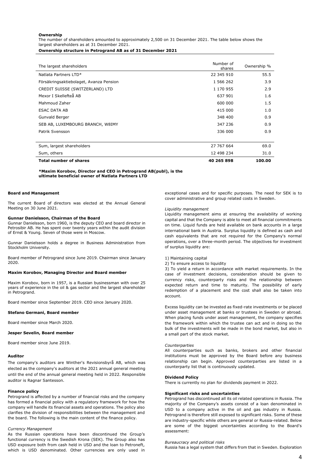#### **Ownership**

The number of shareholders amounted to approximately 2,500 on 31 December 2021. The table below shows the largest shareholders as at 31 December 2021.

**Ownership structure in Petrogrand AB as of 31 December 2021**

| <b>Total number of shares</b>           | 40 265 898          | 100.00      |
|-----------------------------------------|---------------------|-------------|
| Sum, others                             | 12 498 234          | 31.0        |
| Sum, largest shareholders               | 27 767 664          | 69.0        |
|                                         |                     |             |
| Patrik Svensson                         | 336 000             | 0.9         |
| SEB AB, LUXEMBOURG BRANCH, W8IMY        | 347 236             | 0.9         |
| Gunvald Berger                          | 348 400             | 0.9         |
| ESAC DATA AB                            | 415 000             | 1.0         |
| Mahmoud Zaher                           | 600 000             | 1.5         |
| Mexor I Skellefteå AB                   | 637 901             | 1.6         |
| CREDIT SUISSE (SWITZERLAND) LTD         | 1 170 955           | 2.9         |
| Försäkringsaktiebolaget, Avanza Pension | 1 566 262           | 3.9         |
| Natlata Partners LTD*                   | 22 345 910          | 55.5        |
| The largest shareholders                | Number of<br>shares | Ownership % |
|                                         |                     |             |

#### **\*Maxim Korobov, Director and CEO in Petrogrand AB(publ), is the ultimate beneficial owner of Natlata Partners LTD**

#### **Board and Management**

The current Board of directors was elected at the Annual General Meeting on 30 June 2021.

#### **Gunnar Danielsson, Chairman of the Board**

Gunnar Danielsson, born 1960, is the deputy CEO and board director in Petrosibir AB. He has spent over twenty years within the audit division of Ernst & Young. Seven of those were in Moscow.

Gunnar Danielsson holds a degree in Business Administration from Stockholm University.

Board member of Petrogrand since June 2019. Chairman since January 2020.

#### **Maxim Korobov, Managing Director and Board member**

Maxim Korobov, born in 1957, is a Russian businessman with over 25 years of experience in the oil & gas sector and the largest shareholder in Petrogrand.

Board member since September 2019. CEO since January 2020.

#### **Stefano Germani, Board member**

Board member since March 2020.

#### **Jesper Sevelin, Board member**

Board member since June 2019.

#### **Auditor**

The company's auditors are Winther's Revisionsbyrå AB, which was elected as the company's auditors at the 2021 annual general meeting until the end of the annual general meeting held in 2022. Responsible auditor is Ragnar Santesson.

#### **Finance policy**

Petrogrand is affected by a number of financial risks and the company has formed a financial policy with a regulatory framework for how the company will handle its financial assets and operations. The policy also clarifies the division of responsibilities between the management and the board. The following is the main content of the finance policy.

#### *Currency Management*

As the Russian operations have been discontinued the Group's functional currency is the Swedish Krona (SEK). The Group also has USD exposure both from cash held in USD and the loan to Petroneft, which is USD denominated. Other currencies are only used in

exceptional cases and for specific purposes. The need for SEK is to cover administrative and group related costs in Sweden.

#### *Liquidity management*

Liquidity management aims at ensuring the availability of working capital and that the Company is able to meet all financial commitments on time. Liquid funds are held available on bank accounts in a large international bank in Austria. Surplus liquidity is defined as cash and cash equivalents that are not required for the Company's normal operations, over a three-month period. The objectives for investment of surplus liquidity are:

#### 1) Maintaining capital

#### 2) To ensure access to liquidity

3) To yield a return in accordance with market requirements. In the case of investment decisions, consideration should be given to currency risks, counterparty risks and the relationship between expected return and time to maturity. The possibility of early redemption of a placement and the cost shall also be taken into account.

Excess liquidity can be invested as fixed-rate investments or be placed under asset management at banks or trustees in Sweden or abroad. When placing funds under asset management, the company specifies the framework within which the trustee can act and in doing so the bulk of the investments will be made in the bond market, but also in a small part of the stock market.

#### *Counterparties*

All counterparties such as banks, brokers and other financial institutions must be approved by the Board before any business relationship can begin. Approved counterparties are listed in a counterparty list that is continuously updated.

#### **Dividend Policy**

There is currently no plan for dividends payment in 2022.

#### **Significant risks and uncertainties**

Petrogrand has discontinued all its oil related operations in Russia. The majority of the Company's assets consist of a loan denominated in USD to a company active in the oil and gas industry in Russia. Petrogrand is therefore still exposed to significant risks. Some of these are industry-specific while others are general or Russia-related. Below are some of the biggest uncertainties according to the Board's assessment:

#### *Bureaucracy and political risks*

Russia has a legal system that differs from that in Sweden. Exploration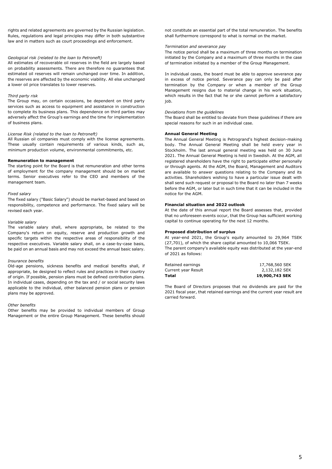rights and related agreements are governed by the Russian legislation. Rules, regulations and legal principles may differ in both substantive law and in matters such as court proceedings and enforcement.

#### *Geological risk (related to the loan to Petroneft)*

All estimates of recoverable oil reserves in the field are largely based on probability assessments. There are therefore no guarantees that estimated oil reserves will remain unchanged over time. In addition, the reserves are affected by the economic viability. All else unchanged a lower oil price translates to lower reserves.

#### *Third party risk*

The Group may, on certain occasions, be dependent on third party services such as access to equipment and assistance in construction to complete its business plans. This dependence on third parties may adversely affect the Group's earnings and the time for implementation of business plans.

#### *License Risk (related to the loan to Petroneft)*

All Russian oil companies must comply with the license agreements. These usually contain requirements of various kinds, such as, minimum production volume, environmental commitments, etc.

#### **Remuneration to management**

The starting point for the Board is that remuneration and other terms of employment for the company management should be on market terms. Senior executives refer to the CEO and members of the management team.

#### *Fixed salary*

The fixed salary ("Basic Salary") should be market-based and based on responsibility, competence and performance. The fixed salary will be revised each year.

#### *Variable salary*

The variable salary shall, where appropriate, be related to the Company's return on equity, reserve and production growth and specific targets within the respective areas of responsibility of the respective executives. Variable salary shall, on a case-by-case basis, be paid on an annual basis and may not exceed the annual basic salary.

#### *Insurance benefits*

Old-age pensions, sickness benefits and medical benefits shall, if appropriate, be designed to reflect rules and practices in their country of origin. If possible, pension plans must be defined contribution plans. In individual cases, depending on the tax and / or social security laws applicable to the individual, other balanced pension plans or pension plans may be approved.

#### *Other benefits*

Other benefits may be provided to individual members of Group Management or the entire Group Management. These benefits should not constitute an essential part of the total remuneration. The benefits shall furthermore correspond to what is normal on the market.

#### *Termination and severance pay*

The notice period shall be a maximum of three months on termination initiated by the Company and a maximum of three months in the case of termination initiated by a member of the Group Management.

In individual cases, the board must be able to approve severance pay in excess of notice period. Severance pay can only be paid after termination by the Company or when a member of the Group Management resigns due to material change in his work situation, which results in the fact that he or she cannot perform a satisfactory job.

#### *Deviations from the guidelines*

The Board shall be entitled to deviate from these guidelines if there are special reasons for such in an individual case.

#### **Annual General Meeting**

The Annual General Meeting is Petrogrand's highest decision-making body. The Annual General Meeting shall be held every year in Stockholm. The last annual general meeting was held on 30 June 2021. The Annual General Meeting is held in Swedish. At the AGM, all registered shareholders have the right to participate either personally or through agents. At the AGM, the Board, Management and Auditors are available to answer questions relating to the Company and its activities. Shareholders wishing to have a particular issue dealt with shall send such request or proposal to the Board no later than 7 weeks before the AGM, or later but in such time that it can be included in the notice for the AGM.

#### **Financial situation and 2022 outlook**

At the date of this annual report the Board assesses that, provided that no unforeseen events occur, that the Group has sufficient working capital to continue operating for the next 12 months.

#### **Proposed distribution of surplus**

At year-end 2021, the Group's equity amounted to 29,964 TSEK (27,701), of which the share capital amounted to 10,066 TSEK. The parent company's available equity was distributed at the year-end of 2021 as follows:

| Total               | 19,900,743 SEK |
|---------------------|----------------|
| Current year Result | 2,132,182 SEK  |
| Retained earnings   | 17,768,560 SEK |

The Board of Directors proposes that no dividends are paid for the 2021 fiscal year, that retained earnings and the current year result are carried forward.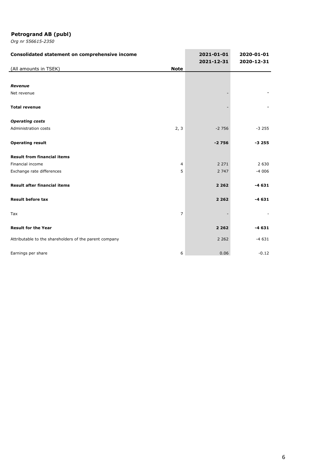| Consolidated statement on comprehensive income         |                | 2021-01-01<br>2021-12-31 | 2020-01-01<br>2020-12-31 |
|--------------------------------------------------------|----------------|--------------------------|--------------------------|
| (All amounts in TSEK)                                  | <b>Note</b>    |                          |                          |
|                                                        |                |                          |                          |
| Revenue                                                |                |                          |                          |
| Net revenue                                            |                |                          |                          |
|                                                        |                |                          |                          |
| <b>Total revenue</b>                                   |                |                          |                          |
|                                                        |                |                          |                          |
| <b>Operating costs</b>                                 |                |                          |                          |
| Administration costs                                   | 2, 3           | $-2756$                  | $-3255$                  |
| <b>Operating result</b>                                |                | $-2756$                  | $-3255$                  |
|                                                        |                |                          |                          |
| <b>Result from financial items</b>                     |                |                          |                          |
| Financial income                                       | $\overline{4}$ | 2 2 7 1                  | 2 6 3 0                  |
| Exchange rate differences                              | 5              | 2 7 4 7                  | $-4006$                  |
|                                                        |                |                          |                          |
| <b>Result after financial items</b>                    |                | 2 2 6 2                  | $-4631$                  |
| <b>Result before tax</b>                               |                | 2 2 6 2                  | $-4631$                  |
|                                                        |                |                          |                          |
| Tax                                                    | $\overline{7}$ |                          |                          |
|                                                        |                |                          |                          |
| <b>Result for the Year</b>                             |                | 2 2 6 2                  | $-4631$                  |
| Attributable to the shareholders of the parent company |                | 2 2 6 2                  | $-4631$                  |
|                                                        |                |                          |                          |
| Earnings per share                                     | 6              | 0.06                     | $-0.12$                  |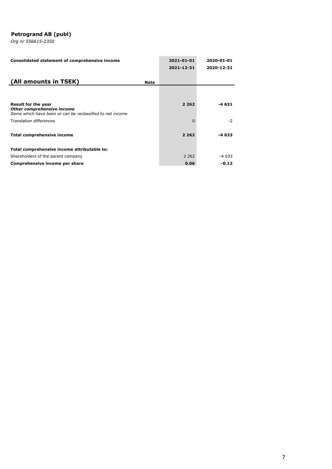| Consolidated statement of comprehensive income                                                                         |             | 2021-01-01<br>2021-12-31 | 2020-01-01<br>2020-12-31 |
|------------------------------------------------------------------------------------------------------------------------|-------------|--------------------------|--------------------------|
| (All amounts in TSEK)                                                                                                  | <b>Note</b> |                          |                          |
|                                                                                                                        |             |                          |                          |
| <b>Result for the year</b><br>Other comprehensive income<br>Items which have been or can be reclassified to net income |             | 2 2 6 2                  | -4 631                   |
| Translation differences                                                                                                |             | $\Omega$                 | $-2$                     |
| <b>Total comprehensive income</b>                                                                                      |             | 2 2 6 2                  | -4 633                   |
| Total comprehensive income attributable to:                                                                            |             |                          |                          |
| Shareholders of the parent company                                                                                     |             | 2 2 6 2                  | -4 633                   |
| Comprehensive income per share                                                                                         |             | 0.06                     | $-0.12$                  |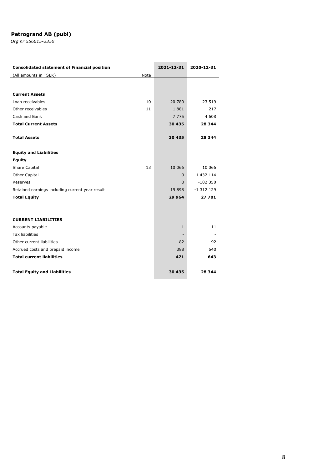| <b>Consolidated statement of Financial position</b> | 2021-12-31   | 2020-12-31 |
|-----------------------------------------------------|--------------|------------|
| (All amounts in TSEK)<br>Note                       |              |            |
|                                                     |              |            |
| <b>Current Assets</b>                               |              |            |
|                                                     |              |            |
| Loan receivables<br>10                              | 20 780       | 23 519     |
| Other receivables<br>11                             | 1881         | 217        |
| Cash and Bank                                       | 7 7 7 5      | 4 608      |
| <b>Total Current Assets</b>                         | 30 435       | 28 344     |
| <b>Total Assets</b>                                 | 30 435       | 28 344     |
|                                                     |              |            |
| <b>Equity and Liabilities</b>                       |              |            |
| <b>Equity</b>                                       |              |            |
| <b>Share Capital</b><br>13                          | 10 066       | 10 066     |
| <b>Other Capital</b>                                | $\Omega$     | 1 432 114  |
| Reserves                                            | $\mathbf{0}$ | $-102350$  |
| Retained earnings including current year result     | 19 898       | $-1312129$ |
| <b>Total Equity</b>                                 | 29 964       | 27 701     |
|                                                     |              |            |
| <b>CURRENT LIABILITIES</b>                          |              |            |
| Accounts payable                                    | $\mathbf{1}$ | 11         |
| <b>Tax liabilities</b>                              |              |            |
| Other current liabilities                           | 82           | 92         |
| Accrued costs and prepaid income                    | 388          | 540        |
| <b>Total current liabilities</b>                    | 471          | 643        |
|                                                     |              |            |
| <b>Total Equity and Liabilities</b>                 | 30 435       | 28 344     |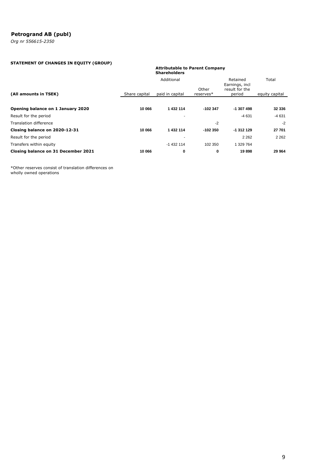*Org nr 556615-2350*

## **STATEMENT OF CHANGES IN EQUITY (GROUP)**

#### **Attributable to Parent Company Shareholders**

|                                     |               | Additional      |                    |                                            | Total          |
|-------------------------------------|---------------|-----------------|--------------------|--------------------------------------------|----------------|
| (All amounts in TSEK)               | Share capital | paid in capital | Other<br>reserves* | Earnings, incl<br>result for the<br>period | equity capital |
| Opening balance on 1 January 2020   | 10 066        | 1 432 114       | $-102347$          | $-1307498$                                 | 32 336         |
| Result for the period               |               |                 |                    | $-4631$                                    | $-4631$        |
| Translation difference              |               |                 | $-2$               |                                            | $-2$           |
| Closing balance on 2020-12-31       | 10 066        | 1 432 114       | $-102350$          | $-1312129$                                 | 27 701         |
| Result for the period               |               |                 |                    | 2 2 6 2                                    | 2 2 6 2        |
| Transfers within equity             |               | $-1432114$      | 102 350            | 1 329 764                                  |                |
| Closing balance on 31 December 2021 | 10 066        | 0               | 0                  | 19898                                      | 29 964         |

\*Other reserves consist of translation differences on wholly owned operations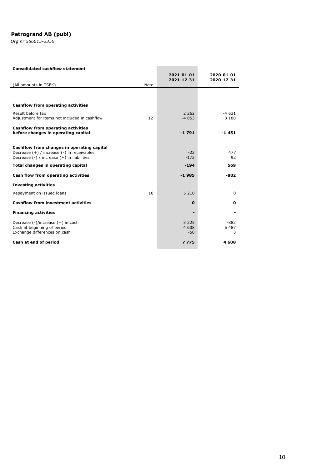*Org nr 556615-2350*

#### **Consolidated cashflow statement**

|                                                                          | 2021-01-01<br>$-2021-12-31$ | 2020-01-01<br>$-2020-12-31$ |
|--------------------------------------------------------------------------|-----------------------------|-----------------------------|
| (All amounts in TSEK)<br>Note                                            |                             |                             |
|                                                                          |                             |                             |
| Cashflow from operating activities                                       |                             |                             |
| Result before tax<br>12<br>Adjustment for items not included in cashflow | 2 2 6 2<br>$-4053$          | $-4631$<br>3 1 8 0          |
| Cashflow from operating activities                                       |                             |                             |
| before changes in operating capital                                      | $-1791$                     | $-1451$                     |
| Cashflow from changes in operating capital                               |                             |                             |
| Decrease (+) / increase (-) in receivables                               | $-22$                       | 477                         |
| Decrease $(-)$ / increase $(+)$ in liabilities                           | $-172$                      | 92                          |
| Total changes in operating capital                                       | $-194$                      | 569                         |
| Cash flow from operating activities                                      | $-1985$                     | $-882$                      |
| <b>Investing activities</b>                                              |                             |                             |
| 10<br>Repayment on issued loans                                          | 5 2 1 0                     | $\Omega$                    |
| <b>Cashflow from investment activities</b>                               | $\mathbf 0$                 | 0                           |
| <b>Financing activities</b>                                              |                             |                             |
| Decrease (-)/increase (+) in cash                                        | 3 2 2 5                     | $-882$                      |
| Cash at beginning of period<br>Exchange differences on cash              | 4 608<br>$-58$              | 5 4 8 7<br>3                |
| Cash at end of period                                                    | 7775                        | 4608                        |

**Contract Contract**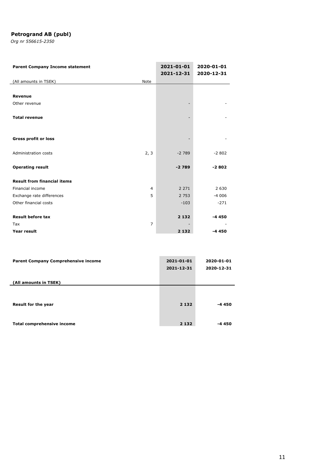| <b>Parent Company Income statement</b> |                | 2021-01-01<br>2021-12-31 | 2020-01-01<br>2020-12-31 |
|----------------------------------------|----------------|--------------------------|--------------------------|
| (All amounts in TSEK)                  | Note           |                          |                          |
|                                        |                |                          |                          |
| <b>Revenue</b>                         |                |                          |                          |
| Other revenue                          |                |                          |                          |
|                                        |                |                          |                          |
| <b>Total revenue</b>                   |                |                          |                          |
|                                        |                |                          |                          |
| <b>Gross profit or loss</b>            |                |                          |                          |
| Administration costs                   | 2, 3           | $-2789$                  | $-2802$                  |
|                                        |                |                          |                          |
| <b>Operating result</b>                |                | $-2789$                  | $-2802$                  |
| <b>Result from financial items</b>     |                |                          |                          |
| Financial income                       | 4              | 2 2 7 1                  | 2 6 3 0                  |
| Exchange rate differences              | 5              | 2 7 5 3                  | $-4006$                  |
| Other financial costs                  |                | $-103$                   | $-271$                   |
|                                        |                |                          |                          |
| <b>Result before tax</b>               |                | 2 1 3 2                  | $-4450$                  |
| Tax                                    | $\overline{7}$ |                          |                          |
| Year result                            |                | 2 1 3 2                  | $-4450$                  |

| <b>Parent Company Comprehensive income</b> | 2021-01-01<br>2021-12-31 | 2020-01-01<br>2020-12-31 |
|--------------------------------------------|--------------------------|--------------------------|
| (All amounts in TSEK)                      |                          |                          |
| Result for the year                        | 2 1 3 2                  | -4 450                   |
| <b>Total comprehensive income</b>          | 2 1 3 2                  | -4 450                   |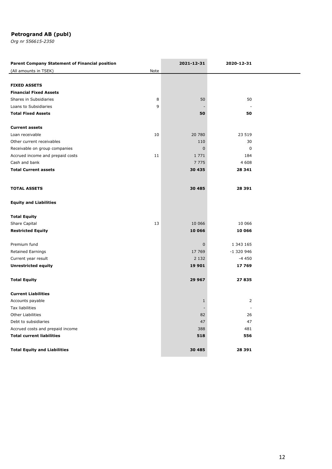| <b>Parent Company Statement of Financial position</b> |      | 2021-12-31   | 2020-12-31 |  |
|-------------------------------------------------------|------|--------------|------------|--|
| (All amounts in TSEK)                                 | Note |              |            |  |
|                                                       |      |              |            |  |
| <b>FIXED ASSETS</b>                                   |      |              |            |  |
| <b>Financial Fixed Assets</b>                         |      |              |            |  |
| Shares in Subsidiaries                                | 8    | 50           | 50         |  |
| Loans to Subsidiaries                                 | 9    |              |            |  |
| <b>Total Fixed Assets</b>                             |      | 50           | 50         |  |
|                                                       |      |              |            |  |
| <b>Current assets</b>                                 |      |              |            |  |
| Loan receivable                                       | 10   | 20 780       | 23 519     |  |
| Other current receivables                             |      | 110          | 30         |  |
| Receivable on group companies                         |      | $\mathbf{0}$ | 0          |  |
| Accrued income and prepaid costs                      | 11   | 1 7 7 1      | 184        |  |
| Cash and bank                                         |      | 7 7 7 5      | 4 6 0 8    |  |
| <b>Total Current assets</b>                           |      | 30 435       | 28 341     |  |
|                                                       |      |              |            |  |
| <b>TOTAL ASSETS</b>                                   |      | 30 485       | 28 391     |  |
|                                                       |      |              |            |  |
| <b>Equity and Liabilities</b>                         |      |              |            |  |
|                                                       |      |              |            |  |
| <b>Total Equity</b>                                   |      |              |            |  |
| Share Capital                                         | 13   | 10 066       | 10 066     |  |
| <b>Restricted Equity</b>                              |      | 10 066       | 10 066     |  |
|                                                       |      |              |            |  |
| Premium fund                                          |      | $\mathbf 0$  | 1 343 165  |  |
| Retained Earnings                                     |      | 17 769       | -1 320 946 |  |
| Current year result                                   |      | 2 1 3 2      | $-4450$    |  |
| <b>Unrestricted equity</b>                            |      | 19 901       | 17 769     |  |
|                                                       |      |              |            |  |
| <b>Total Equity</b>                                   |      | 29 967       | 27 835     |  |
|                                                       |      |              |            |  |
| <b>Current Liabilities</b>                            |      |              |            |  |
| Accounts payable                                      |      | 1            | 2          |  |
| Tax liabilities                                       |      |              |            |  |
| <b>Other Liabilities</b>                              |      | 82           | 26         |  |
| Debt to subsidiaries                                  |      | 47           | 47         |  |
| Accrued costs and prepaid income                      |      | 388          | 481        |  |
| <b>Total current liabilities</b>                      |      | 518          | 556        |  |
|                                                       |      |              |            |  |
| <b>Total Equity and Liabilities</b>                   |      | 30 485       | 28 391     |  |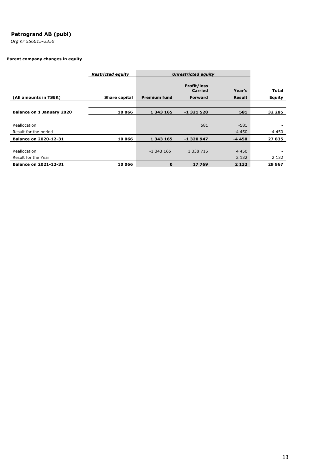*Org nr 556615-2350*

## **Parent company changes in equity**

|                              | <b>Restricted equity</b> | <b>Unrestricted equity</b> |                                                        |                         |                        |
|------------------------------|--------------------------|----------------------------|--------------------------------------------------------|-------------------------|------------------------|
| (All amounts in TSEK)        | Share capital            | <b>Premium fund</b>        | <b>Profit/loss</b><br><b>Carried</b><br><b>Forward</b> | Year's<br><b>Result</b> | <b>Total</b><br>Equity |
|                              |                          |                            |                                                        |                         |                        |
| Balance on 1 January 2020    | 10 066                   | 1 343 165                  | -1321528                                               | 581                     | 32 285                 |
|                              |                          |                            |                                                        |                         |                        |
| Reallocation                 |                          |                            | 581                                                    | $-581$                  |                        |
| Result for the period        |                          |                            |                                                        | $-4450$                 | -4 450                 |
| <b>Balance on 2020-12-31</b> | 10 066                   | 1 343 165                  | -1320947                                               | $-4450$                 | 27835                  |
|                              |                          |                            |                                                        |                         |                        |
| Reallocation                 |                          | $-1343165$                 | 1 338 715                                              | 4 4 5 0                 |                        |
| Result for the Year          |                          |                            |                                                        | 2 1 3 2                 | 2 1 3 2                |
| <b>Balance on 2021-12-31</b> | 10 066                   | $\bf{0}$                   | 17769                                                  | 2 1 3 2                 | 29 967                 |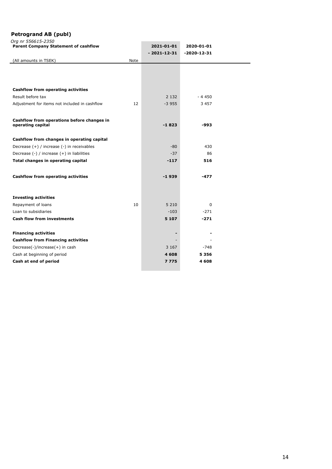|  | Ora nr 556615-2350 |  |
|--|--------------------|--|
|  |                    |  |

| Org nr 556615-2350<br><b>Parent Company Statement of cashflow</b> |      | 2021-01-01<br>$-2021 - 12 - 31$ | 2020-01-01<br>$-2020 - 12 - 31$ |  |
|-------------------------------------------------------------------|------|---------------------------------|---------------------------------|--|
| (All amounts in TSEK)                                             | Note |                                 |                                 |  |
|                                                                   |      |                                 |                                 |  |
|                                                                   |      |                                 |                                 |  |
|                                                                   |      |                                 |                                 |  |
| <b>Cashflow from operating activities</b>                         |      |                                 |                                 |  |
| Result before tax                                                 |      | 2 1 3 2                         | - 4 450                         |  |
| Adjustment for items not included in cashflow                     | 12   | $-3955$                         | 3 4 5 7                         |  |
|                                                                   |      |                                 |                                 |  |
| Cashflow from operations before changes in                        |      |                                 |                                 |  |
| operating capital                                                 |      | $-1823$                         | -993                            |  |
|                                                                   |      |                                 |                                 |  |
| Cashflow from changes in operating capital                        |      |                                 |                                 |  |
| Decrease (+) / increase (-) in receivables                        |      | $-80$                           | 430                             |  |
| Decrease (-) / increase (+) in liabilities                        |      | $-37$                           | 86                              |  |
| Total changes in operating capital                                |      | $-117$                          | 516                             |  |
|                                                                   |      |                                 |                                 |  |
| <b>Cashflow from operating activities</b>                         |      | -1939                           | $-477$                          |  |
|                                                                   |      |                                 |                                 |  |
|                                                                   |      |                                 |                                 |  |
| <b>Investing activities</b>                                       |      |                                 |                                 |  |
| Repayment of loans                                                | 10   | 5 2 1 0                         | $\Omega$                        |  |
| Loan to subsidiaries                                              |      | $-103$                          | $-271$                          |  |
| <b>Cash flow from investments</b>                                 |      | 5 1 0 7                         | $-271$                          |  |
|                                                                   |      |                                 |                                 |  |
| <b>Financing activities</b>                                       |      |                                 |                                 |  |
| <b>Cashflow from Financing activities</b>                         |      |                                 |                                 |  |
| Decrease(-)/increase(+) in cash                                   |      | 3 1 6 7                         | $-748$                          |  |
| Cash at beginning of period                                       |      | 4 608                           | 5 3 5 6                         |  |
| Cash at end of period                                             |      | 7775                            | 4 608                           |  |
|                                                                   |      |                                 |                                 |  |

L,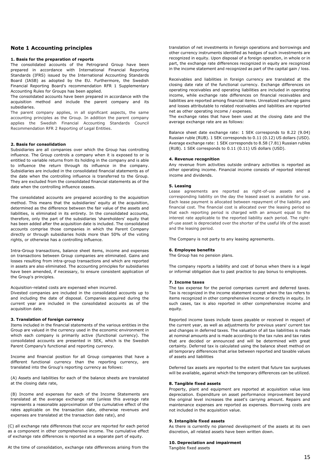#### **Note 1 Accounting principles**

#### **1. Basis for the preparation of reports**

The consolidated accounts of the Petrogrand Group have been prepared in accordance with International Financial Reporting Standards (IFRS) issued by the International Accounting Standards Board (IASB) as adopted by the EU. Furthermore, the Swedish Financial Reporting Board's recommendation RFR 1 Supplementary Accounting Rules for Groups has been applied.

The consolidated accounts have been prepared in accordance with the acquisition method and include the parent company and its subsidiaries.

The parent company applies, in all significant aspects, the same accounting principles as the Group. In addition the parent company applies the Swedish Financial Accounting Standards Council Recommendation RFR 2 Reporting of Legal Entities.

#### **2. Basis for consolidation**

Subsidiaries are all companies over which the Group has controlling influence. The Group controls a company when it is exposed to or is entitled to variable returns from its holding in the company and is able to influence the return through its influence in the company. Subsidiaries are included in the consolidated financial statements as of the date when the controlling influence is transferred to the Group. They are excluded from the consolidated financial statements as of the date when the controlling influence ceases.

The consolidated accounts are prepared according to the acquisition method. This means that the subsidiaries' equity at the acquisition, determined as the difference between the fair value of the assets and liabilities, is eliminated in its entirety. In the consolidated accounts, therefore, only the part of the subsidiaries 'shareholders' equity that has been added after the acquisition date is included. The consolidated accounts comprise those companies in which the Parent Company directly or through subsidiaries holds more than 50% of the voting rights, or otherwise has a controlling influence.

Intra-Group transactions, balance sheet items, income and expenses on transactions between Group companies are eliminated. Gains and losses resulting from intra-group transactions and which are reported in assets are also eliminated. The accounting principles for subsidiaries have been amended, if necessary, to ensure consistent application of the Group's principles.

#### Acquisition-related costs are expensed when incurred.

Divested companies are included in the consolidated accounts up to and including the date of disposal. Companies acquired during the current year are included in the consolidated accounts as of the acquisition date.

## **3. Translation of foreign currency**

Items included in the financial statements of the various entities in the Group are valued in the currency used in the economic environment in which each company is primarily active (functional currency). The consolidated accounts are presented in SEK, which is the Swedish Parent Company's functional and reporting currency.

Income and financial position for all Group companies that have a different functional currency than the reporting currency, are translated into the Group's reporting currency as follows:

(A) Assets and liabilities for each of the balance sheets are translated at the closing date rate,

(B) Income and expenses for each of the Income Statements are translated at the average exchange rate (unless this average rate represents a reasonable approximation of the cumulative effect of the rates applicable on the transaction date, otherwise revenues and expenses are translated at the transaction date rate), and

(C) all exchange rate differences that occur are reported for each period as a component in other comprehensive income. The cumulative effect of exchange rate differences is reported as a separate part of equity.

At the time of consolidation, exchange rate differences arising from the

translation of net investments in foreign operations and borrowings and other currency instruments identified as hedges of such investments are recognized in equity. Upon disposal of a foreign operation, in whole or in part, the exchange rate differences recognized in equity are recognized in the income statement and recognized as part of the capital gain / loss.

Receivables and liabilities in foreign currency are translated at the closing date rate of the functional currency. Exchange differences on operating receivables and operating liabilities are included in operating income, while exchange rate differences on financial receivables and liabilities are reported among financial items. Unrealized exchange gains and losses attributable to related receivables and liabilities are reported net as other operating income / expenses.

The exchange rates that have been used at the closing date and the average exchange rate are as follows:

Balance sheet date exchange rate: 1 SEK corresponds to 8.22 (9.04) Russian ruble (RUB). 1 SEK corresponds to 0.11 (0.12) US dollars (USD). Average exchange rate: 1 SEK corresponds to 8.58 (7.81) Russian rubles (RUB). 1 SEK corresponds to 0.11 (0.11) US dollars (USD).

#### **4. Revenue recognition**

Any revenue from activities outside ordinary activities is reported as other operating income. Financial income consists of reported interest income and dividends.

#### **5. Leasing**

Lease agreements are reported as right-of-use assets and a corresponding liability on the day the leased asset is available for use. Each lease payment is allocated between repayment of the liability and financial cost. The financial cost is allocated over the leasing period so that each reporting period is charged with an amount equal to the interest rate applicable to the reported liability each period. The rightof-use asset is depreciated over the shorter of the useful life of the asset and the leasing period.

The Company is not party to any leasing agreements.

#### **6. Employee benefits**

The Group has no pension plans.

The company reports a liability and cost of bonus when there is a legal or informal obligation due to past practice to pay bonus to employees.

#### **7. Income taxes**

The tax expense for the period comprises current and deferred taxes. Tax is recognized in the income statement except when the tax refers to items recognized in other comprehensive income or directly in equity. In such cases, tax is also reported in other comprehensive income and equity.

Reported income taxes include taxes payable or received in respect of the current year, as well as adjustments for previous years' current tax and changes in deferred taxes. The valuation of all tax liabilities is made at nominal amounts and is made according to the tax rules and tax rates that are decided or announced and will be determined with great certainty. Deferred tax is calculated using the balance sheet method on all temporary differences that arise between reported and taxable values of assets and liabilities

Deferred tax assets are reported to the extent that future tax surpluses will be available, against which the temporary differences can be utilized.

#### **8. Tangible fixed assets**

Property, plant and equipment are reported at acquisition value less depreciation. Expenditure on asset performance improvement beyond the original level increases the asset's carrying amount. Repairs and maintenance expenses are reported as expenses. Borrowing costs are not included in the acquisition value.

#### **9. Intangible fixed assets**

As there is currently no planned development of the assets at its own discretion, all related assets have been written down.

#### **10. Depreciation and impairment**

Tangible fixed assets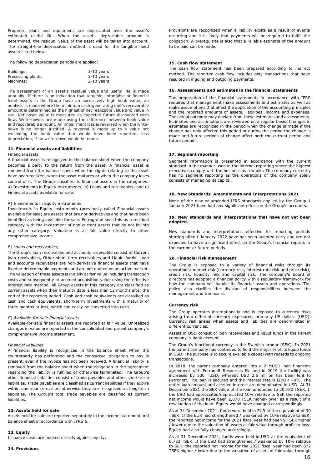Property, plant and equipment are depreciated over the asset's estimated useful life. When the asset's depreciable amount is determined, the residual value of the asset will be taken into account. The straight-line depreciation method is used for the tangible fixed assets listed below.

The following depreciation periods are applied:

| Buildings:         | $3-10$ years |
|--------------------|--------------|
| Processing plants: | $3-10$ years |
| Machines:          | $2-10$ years |

The assessment of an asset's residual value and useful life is made annually. If there is an indication that tangible, intangible or financial fixed assets in the Group have an excessively high book value, an analysis is made where the minimum cash-generating unit's recoverable amount is determined as the highest of net realizable value and value in use. Net asset value is measured as expected future discounted cash flow. Write-downs are made using the difference between book value and recoverable amount. An impairment loss is reversed when the writedown is no longer justified. A reversal is made up to a value not exceeding the book value that would have been reported, less depreciation, if no write-down would be made.

#### **11. Financial assets and liabilities**

#### Financial assets

A financial asset is recognized in the balance sheet when the company becomes a party to the return from the asset. A financial asset is removed from the balance sheet when the rights relating to the asset have been realized, when the asset matures or when the company loses control of it. The Group classifies its financial assets in the categories: a) Investments in Equity instruments; b) Loans and receivables; and c) Financial assets available for sale.

#### A) Investments in Equity instruments

Investments in Equity instruments (previously called Financial assets available for sale) are assets that are not derivatives and that have been identified as being available for sale. Petrogrand sees this as a residual category with the investment of non-current assets that do not fit into any other category. Valuation is at fair value directly to other comprehensive income.

#### *B) Loans and receivables;*

The Group's loan receivables and accounts receivable consist of Current loan receivables, Other short-term receivables and Liquid funds. Loan and accounts receivables are non-derivative financial assets that have fixed or determinable payments and are not quoted on an active market. The valuation of these assets is initially at fair value including transaction costs and subsequently at accrued acquisition value using the effective interest rate method. All Group assets in this category are classified as current assets when their maturity date is less than 12 months after the end of the reporting period. Cash and cash equivalents are classified as cash and cash equivalents, short-term investments with a maturity of three months or less, which can easily be converted into cash.

#### *C) Available-for-sale financial assets*

Available-for-sale financial assets are reported at fair value. Unrealized changes in value are reported in the consolidated and parent company's comprehensive income statement.

#### *Financial liabilities*

A financial liability is recognized in the balance sheet when the counterparty has performed and the contractual obligation to pay is present, even if the invoice has not been received. A financial liability is removed from the balance sheet when the obligation in the agreement regarding the liability is fulfilled or otherwise terminated. The Group's other financial liabilities consist of trade payables and other short-term liabilities. Trade payables are classified as current liabilities if they expire within one year or earlier, otherwise they are recognized as long-term liabilities. The Group's total trade payables are classified as current liabilities.

#### **12. Assets held for sale**

Assets held for sale are reported separately in the income statement and balance sheet in accordance with IFRS 5.

#### **13. Equity**

Issuance costs are booked directly against equity**.**

Provisions are recognized when a liability exists as a result of events occurring and it is likely that payments will be required to fulfill the obligation. A prerequisite is also that a reliable estimate of the amount to be paid can be made.

#### **15. Cash flow statement**

The cash flow statement has been prepared according to indirect method. The reported cash flow includes only transactions that have resulted in ingoing and outgoing payments.

#### **16. Assessments and estimates in the financial statements**

The preparation of the financial statements in accordance with IFRS requires that management make assessments and estimates as well as make assumptions that affect the application of the accounting principles and the reported amounts of assets, liabilities, income and expenses. The actual outcome may deviate from these estimates and assessments. Estimates and assumptions are reviewed on a regular basis. Changes in estimates are recognized in the period when the change is made if the change has only affected this period or during the period the change is made and future periods of change affect both the current period and future periods.

#### **17. Segment reporting**

Segment information is presented in accordance with the current standard in the manner used in the internal reporting where the highest executives comply with the business as a whole. The company currently has no segment reporting as the operations of the company solely consists of managing its capital.

#### **18. New Standards, Amendments and Interpretations 2021**

None of the new or amended IFRS standards applied by the Group 1 January 2021 have had any significant effect on the Group's accounts.

#### **19. New standards and interpretations that have not yet been adopted.**

New standards and interpretations effective for reporting periods starting after 1 January 2022 have not been adopted early and are not expected to have a significant effect on the Group's financial reports in the current or future periods.

#### **20. Financial risk management**

The Group is exposed to a variety of financial risks through its operations: market risk (currency risk, interest rate risk and price risk), credit risk, liquidity risk and capital risk. The company's board of directors has adopted a financial policy with a regulatory framework for how the company will handle its financial assets and operations. The policy also clarifies the division of responsibilities between the management and the board.

#### **Currency risk**

The Group operates internationally and is exposed to currency risks arising from different currency exposures, primarily US dollars (USD). Currency risk arises when assets and liabilities are denominated in different currencies.

Assets in USD consist of loan receivables and liquid funds in the Parent company´s bank account.

The Group's functional currency is the Swedish kronor (SEK). In 2021 the parent company has continued to hold the majority of its liquid funds in USD. The purpose is to secure available capital with regards to ongoing transactions.

In 2018, the parent company entered into a 2 MUSD loan financing agreement with Petroneft Resources Plc and in 2019 the facility was increased by 500 TUSD, whereby USD 2.5 million has been lent to Petroneft. The loan is secured and the interest rate is LIBOR +9%. The entire loan amount and accrued interest are denominated in USD. At 31 December 2021 the SEK value of the loan amounted to 20,780 TSEK. If the USD had appreciated/depreciated 10% relative to SEK the reported net income would have been 2,070 TSEK higher/lower as a result of a revaluation of the loan. Equity would have changed correspondingly.

As at 31 December 2021, funds were held in EUR at the equivalent of 90 TSEK. If the EUR had strengthened / weakened by 10% relative to SEK, the reported net income for the 2021 fiscal year had been 9 TSEK higher / lower due to the valuation of assets at fair value through profit or loss. Equity had also fully changed accordingly.

As at 31 December 2021, funds were held in USD at the equivalent of 6,723 TSEK. If the USD had strengthened / weakened by 10% relative to SEK, the reported net income for the 2021 fiscal year had been 672 TSEK higher / lower due to the valuation of assets at fair value through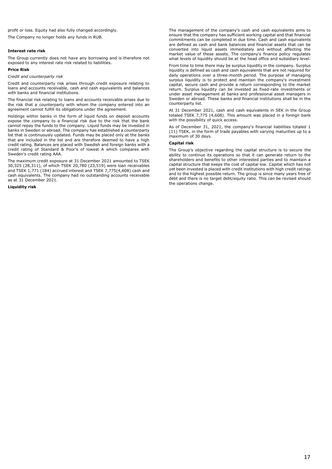profit or loss. Equity had also fully changed accordingly. The Company no longer holds any funds in RUB.

#### **Interest rate risk**

The Group currently does not have any borrowing and is therefore not exposed to any interest rate risk related to liabilities.

#### **Price Risk**

*Credit and counterparty risk*

Credit and counterparty risk arises through credit exposure relating to loans and accounts receivable, cash and cash equivalents and balances with banks and financial institutions.

The financial risk relating to loans and accounts receivable arises due to the risk that a counterparty with whom the company entered into an agreement cannot fulfill its obligations under the agreement.

Holdings within banks in the form of liquid funds on deposit accounts expose the company to a financial risk due to the risk that the bank cannot repay the funds to the company. Liquid funds may be invested in banks in Sweden or abroad. The company has established a counterparty list that is continuously updated. Funds may be placed only at the banks that are included in the list and are therefore deemed to have a high credit rating. Balances are placed with Swedish and foreign banks with a credit rating of Standard & Poor's of lowest A which compares with Sweden's credit rating AAA.

The maximum credit exposure at 31 December 2021 amounted to TSEK 30,325 (28,311), of which TSEK 20,780 (23,519) were loan receivables and TSEK 1,771 (184) accrued interest and TSEK 7,775(4,608) cash and cash equivalents. The company had no outstanding accounts receivable as at 31 December 2021.

**Liquidity risk**

The management of the company's cash and cash equivalents aims to ensure that the company has sufficient working capital and that financial commitments can be completed in due time. Cash and cash equivalents are defined as cash and bank balances and financial assets that can be converted into liquid assets immediately and without affecting the market value of these assets. The company's finance policy regulates what levels of liquidity should be at the head office and subsidiary level.

From time to time there may be surplus liquidity in the company. Surplus liquidity is defined as cash and cash equivalents that are not required for daily operations over a three-month period. The purpose of managing surplus liquidity is to protect and maintain the company's investment capital, secure cash and provide a return corresponding to the market return. Surplus liquidity can be invested as fixed-rate investments or under asset management at banks and professional asset managers in Sweden or abroad. These banks and financial institutions shall be in the counterparty list.

At 31 December 2021, cash and cash equivalents in SEK in the Group totaled TSEK 7,775 (4,608). This amount was placed in a foreign bank with the possibility of quick access.

As of December 31, 2021, the company's financial liabilities totaled 1 (11) TSEK, in the form of trade payables with varying maturities up to a maximum of 30 days.

#### **Capital risk**

The Group's objective regarding the capital structure is to secure the ability to continue its operations so that it can generate return to the shareholders and benefits to other interested parties and to maintain a capital structure that keeps the cost of capital low. Capital which has not yet been invested is placed with credit institutions with high credit ratings and to the highest possible return. The group is since many years free of debt and there is no target debt/equity ratio. This can be revised should the operations change.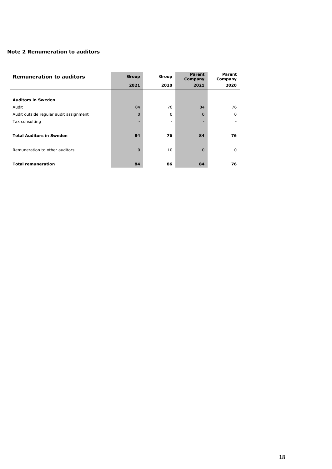## **Note 2 Renumeration to auditors**

| <b>Remuneration to auditors</b>        | Group    | Group | Parent<br>Company | Parent<br>Company |
|----------------------------------------|----------|-------|-------------------|-------------------|
|                                        | 2021     | 2020  | 2021              | 2020              |
|                                        |          |       |                   |                   |
| <b>Auditors in Sweden</b>              |          |       |                   |                   |
| Audit                                  | 84       | 76    | 84                | 76                |
| Audit outside regular audit assignment | $\Omega$ | 0     | 0                 | 0                 |
| Tax consulting                         |          | ٠     |                   |                   |
|                                        |          |       |                   |                   |
| <b>Total Auditors in Sweden</b>        | 84       | 76    | 84                | 76                |
|                                        |          |       |                   |                   |
| Remuneration to other auditors         | $\Omega$ | 10    | $\Omega$          | $\Omega$          |
|                                        |          |       |                   |                   |
| <b>Total remuneration</b>              | 84       | 86    | 84                | 76                |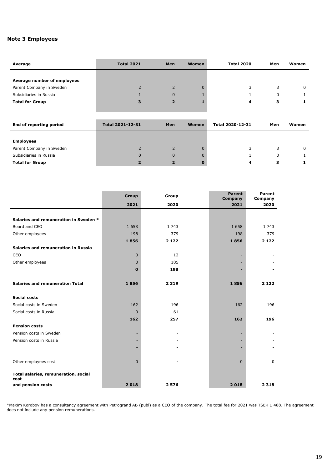## **Note 3 Employees**

| Average                     | <b>Total 2021</b>       | Men            | <b>Women</b> | <b>Total 2020</b> | Men      | Women |
|-----------------------------|-------------------------|----------------|--------------|-------------------|----------|-------|
|                             |                         |                |              |                   |          |       |
| Average number of employees |                         |                |              |                   |          |       |
| Parent Company in Sweden    | $\overline{2}$          | $\overline{2}$ | $\Omega$     | 3                 | 3        | 0     |
| Subsidiaries in Russia      |                         | $\Omega$       |              |                   | 0        |       |
| <b>Total for Group</b>      | 3                       | $\overline{2}$ |              | 4                 | з        |       |
|                             |                         |                |              |                   |          |       |
|                             |                         |                |              |                   |          |       |
| End of reporting period     | <b>Total 2021-12-31</b> | <b>Men</b>     | <b>Women</b> | Total 2020-12-31  | Men      | Women |
|                             |                         |                |              |                   |          |       |
| <b>Employees</b>            |                         |                |              |                   |          |       |
| Parent Company in Sweden    | $\overline{2}$          | $\overline{2}$ | $\mathbf{0}$ | 3                 | 3        | 0     |
| Subsidiaries in Russia      | $\Omega$                | $\Omega$       | $\Omega$     |                   | $\Omega$ | 1     |
| <b>Total for Group</b>      | $\overline{2}$          | $\overline{2}$ | $\bf{0}$     | 4                 | з        | 1     |

|                                              | Group        | Group   | <b>Parent</b><br>Company | Parent<br>Company |
|----------------------------------------------|--------------|---------|--------------------------|-------------------|
|                                              | 2021         | 2020    | 2021                     | 2020              |
|                                              |              |         |                          |                   |
| Salaries and remuneration in Sweden *        |              |         |                          |                   |
| Board and CEO                                | 1 6 5 8      | 1 7 4 3 | 1658                     | 1 743             |
| Other employees                              | 198          | 379     | 198                      | 379               |
|                                              | 1856         | 2 1 2 2 | 1856                     | 2 1 2 2           |
| Salaries and remuneration in Russia          |              |         |                          |                   |
| CEO                                          | $\mathbf{0}$ | 12      |                          |                   |
| Other employees                              | $\Omega$     | 185     |                          |                   |
|                                              | $\bf{0}$     | 198     |                          |                   |
|                                              |              |         |                          |                   |
| <b>Salaries and remuneration Total</b>       | 1856         | 2 3 1 9 | 1856                     | 2 1 2 2           |
|                                              |              |         |                          |                   |
| <b>Social costs</b>                          |              |         |                          |                   |
| Social costs in Sweden                       | 162          | 196     | 162                      | 196               |
| Social costs in Russia                       | $\mathbf{0}$ | 61      |                          |                   |
|                                              | 162          | 257     | 162                      | 196               |
| <b>Pension costs</b>                         |              |         |                          |                   |
| Pension costs in Sweden                      |              |         |                          |                   |
| Pension costs in Russia                      |              |         |                          |                   |
|                                              |              |         |                          |                   |
|                                              |              |         |                          |                   |
| Other employees cost                         | $\Omega$     |         | $\mathbf{0}$             | 0                 |
|                                              |              |         |                          |                   |
| Total salaries, remuneration, social<br>cost |              |         |                          |                   |
| and pension costs                            | 2018         | 2576    | 2018                     | 2 3 1 8           |

\*Maxim Korobov has a consultancy agreement with Petrogrand AB (publ) as a CEO of the company. The total fee for 2021 was TSEK 1 488. The agreement does not include any pension remunerations.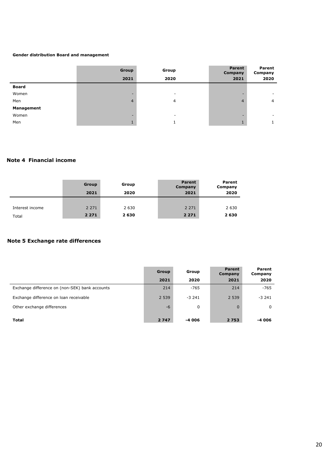## **Gender distribution Board and management**

|              | Group                    | Group                    | Parent<br>Company | Parent<br>Company             |
|--------------|--------------------------|--------------------------|-------------------|-------------------------------|
|              | 2021                     | 2020                     |                   | 2021<br>2020                  |
| <b>Board</b> |                          |                          |                   |                               |
| Women        | $\overline{\phantom{a}}$ | ۰                        |                   | $\overline{\phantom{a}}$<br>- |
| Men          | $\overline{4}$           | 4                        |                   | $\overline{4}$<br>4           |
| Management   |                          |                          |                   |                               |
| Women        | -                        | $\overline{\phantom{a}}$ |                   | ۰<br>=                        |
| Men          |                          |                          |                   |                               |

## **Note 4 Financial income**

|                 | Group<br>2021 | Group<br>2020 | <b>Parent</b><br>Company<br>2021 | Parent<br>Company<br>2020 |
|-----------------|---------------|---------------|----------------------------------|---------------------------|
| Interest income | 2 2 7 1       | 2 6 3 0       | 2 2 7 1                          | 2 6 3 0                   |
| Total           | 2 2 7 1       | 2 6 3 0       | 2 2 7 1                          | 2630                      |

## **Note 5 Exchange rate differences**

|                                                | Group   | Group   | <b>Parent</b><br>Company | Parent<br>Company |
|------------------------------------------------|---------|---------|--------------------------|-------------------|
|                                                | 2021    | 2020    | 2021                     | 2020              |
| Exchange difference on (non-SEK) bank accounts | 214     | $-765$  | 214                      | $-765$            |
| Exchange difference on loan receivable         | 2 5 3 9 | $-3241$ | 2 5 3 9                  | $-3241$           |
| Other exchange differences                     | $-6$    | 0       | $\mathbf{0}$             | 0                 |
| <b>Total</b>                                   | 2 7 4 7 | -4 006  | 2 7 5 3                  | -4 006            |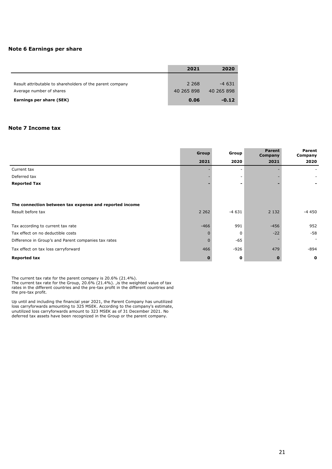## **Note 6 Earnings per share**

|                                                           | 2021       | 2020       |
|-----------------------------------------------------------|------------|------------|
|                                                           |            |            |
| Result attributable to shareholders of the parent company | 2 2 6 8    | $-4631$    |
| Average number of shares                                  | 40 265 898 | 40 265 898 |
| Earnings per share (SEK)                                  | 0.06       | $-0.12$    |

## **Note 7 Income tax**

|                                                        | Group        | Group       | <b>Parent</b><br>Company | Parent<br>Company |
|--------------------------------------------------------|--------------|-------------|--------------------------|-------------------|
|                                                        | 2021         | 2020        | 2021                     | 2020              |
| Current tax                                            |              |             |                          |                   |
| Deferred tax                                           |              |             |                          |                   |
| <b>Reported Tax</b>                                    |              |             |                          |                   |
|                                                        |              |             |                          |                   |
| The connection between tax expense and reported income |              |             |                          |                   |
| Result before tax                                      | 2 2 6 2      | $-4631$     | 2 1 3 2                  | -4 450            |
| Tax according to current tax rate                      | $-466$       | 991         | $-456$                   | 952               |
| Tax effect on no deductible costs                      | $\Omega$     | $\Omega$    | $-22$                    | $-58$             |
|                                                        |              |             |                          | ٠                 |
| Difference in Group's and Parent companies tax rates   | $\mathbf{0}$ | -65         |                          |                   |
| Tax effect on tax loss carryforward                    | 466          | $-926$      | 479                      | -894              |
| <b>Reported tax</b>                                    | 0            | $\mathbf o$ |                          | $\mathbf 0$       |

The current tax rate for the parent company is 20.6% (21.4%).

The current tax rate for the Group, 20.6% (21.4%). ,is the weighted value of tax rates in the different countries and the pre-tax profit in the different countries and the pre-tax profit.

Up until and including the financial year 2021, the Parent Company has unutilized loss carryforwards amounting to 325 MSEK. According to the company's estimate, unutilized loss carryforwards amount to 323 MSEK as of 31 December 2021. No deferred tax assets have been recognized in the Group or the parent company.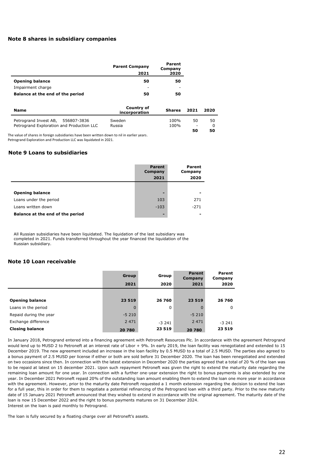## **Note 8 shares in subsidiary companies**

|                                  | <b>Parent Company</b><br>2021 | Parent<br>Company<br>2020 |
|----------------------------------|-------------------------------|---------------------------|
| <b>Opening balance</b>           | 50                            | 50                        |
| Impairment charge                | ۰                             |                           |
| Balance at the end of the period | 50                            | 50                        |

| Name                                                                           | Country of<br>incorporation | <b>Shares</b> | 2021                           | 2020 |
|--------------------------------------------------------------------------------|-----------------------------|---------------|--------------------------------|------|
| Petrogrand Invest AB, 556807-3836<br>Petrogrand Exploration and Production LLC | Sweden<br>Russia            | 100%<br>100%  | 50<br>$\overline{\phantom{a}}$ | 50   |
|                                                                                |                             |               | 50                             | 50   |

The value of shares in foreign subsidiaries have been written down to nil in earlier years. Petrogrand Exploration and Production LLC was liquidated in 2021.

#### **Note 9 Loans to subsidiaries**

|                                  | Parent<br>Company<br>2021 | Parent<br>Company<br>2020 |
|----------------------------------|---------------------------|---------------------------|
|                                  |                           |                           |
| <b>Opening balance</b>           | -                         |                           |
| Loans under the period           | 103                       | 271                       |
| Loans written down               | $-103$                    | $-271$                    |
| Balance at the end of the period | $\overline{\phantom{a}}$  |                           |

All Russian subsidiaries have been liquidated. The liquidation of the last subsidiary was completed in 2021. Funds transferred throughout the year financed the liquidation of the Russian subsidiary.

## **Note 10 Loan receivable**

|                        | <b>Group</b><br>2021 | Group<br>2020 | <b>Parent</b><br>Company<br>2021 | Parent<br>Company<br>2020 |
|------------------------|----------------------|---------------|----------------------------------|---------------------------|
|                        |                      |               |                                  |                           |
| <b>Opening balance</b> | 23 519               | 26 760        | 23 5 19                          | 26 760                    |
| Loans in the period    | $\Omega$             | 0             | 0                                | $\Omega$                  |
| Repaid during the year | $-5210$              |               | $-5210$                          |                           |
| Exchange difference    | 2 4 7 1              | $-3241$       | 2 4 7 1                          | $-3241$                   |
| <b>Closing balance</b> | 20 780               | 23 5 19       | 20 780                           | 23 5 19                   |

In January 2018, Petrogrand entered into a financing agreement with Petroneft Resources Plc. In accordance with the agreement Petrogrand would lend up to MUSD 2 to Petroneft at an interest rate of Libor + 9%. In early 2019, the loan facility was renegotiated and extended to 15 December 2019. The new agreement included an increase in the loan facility by 0.5 MUSD to a total of 2.5 MUSD. The parties also agreed to a bonus payment of 2.5 MUSD per license if either or both are sold before 31 December 2020. The loan has been renegotiated and extended on two occasions since then. In connection with the latest extension in December 2020 the parties agreed that a total of 20 % of the loan was to be repaid at latest on 15 december 2021. Upon such repayment Petroneft was given the right to extend the maturity date regarding the remaining loan amount for one year. In connection with a further one-year extension the right to bonus payments is also extended by one year. In December 2021 Petroneft repaid 20% of the outstanding loan amount enabling them to extend the loan one more year in accordance with the agreement. However, prior to the maturity date Petroneft requested a 1 month extension regarding the decision to extend the loan for a full year, this in order for them to negotiate a potential refinancing of the Petrogrand loan with a third party. Prior to the new maturity date of 15 January 2021 Petroneft announced that they wished to extend in accordance with the original agreement. The maturity date of the loan is now 15 December 2022 and the right to bonus payments matures on 31 December 2024. Interest on the loan is paid monthly to Petrogrand.

The loan is fully secured by a floating charge over all Petroneft's assets.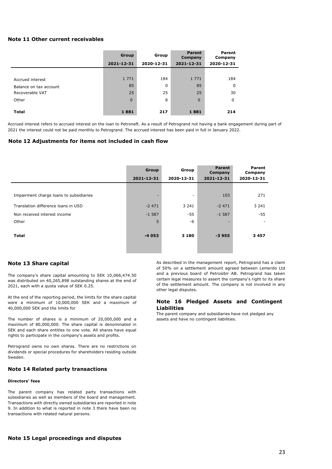## **Note 11 Other current receivables**

|                        | <b>Group</b> | Group      | <b>Parent</b><br>Company | Parent<br>Company |
|------------------------|--------------|------------|--------------------------|-------------------|
|                        | 2021-12-31   | 2020-12-31 | 2021-12-31               | 2020-12-31        |
|                        |              |            |                          |                   |
| Accrued interest       | 1 7 7 1      | 184        | 1 7 7 1                  | 184               |
| Balance on tax account | 85           | 0          | 85                       | 0                 |
| Recoverable VAT        | 25           | 25         | 25                       | 30                |
| Other                  | $\Omega$     | 8          | $\Omega$                 | $\Omega$          |
|                        |              |            |                          |                   |
| <b>Total</b>           | 1881         | 217        | 1881                     | 214               |

Accrued interest refers to accrued interest on the loan to Petroneft. As a result of Petrogrand not having a bank engagement during part of 2021 the interest could not be paid monthly to Petrogrand. The accrued interest has been paid in full in January 2022.

#### **Note 12 Adjustments for items not included in cash flow**

|                                         | Group      | Group      | <b>Parent</b><br>Company | Parent<br>Company |
|-----------------------------------------|------------|------------|--------------------------|-------------------|
|                                         | 2021-12-31 | 2020-12-31 | 2021-12-31               | 2020-12-31        |
|                                         |            |            |                          |                   |
| Impairment charge loans to subsidiaries |            | ٠          | 103                      | 271               |
| Translation difference loans in USD     | $-2471$    | 3 2 4 1    | $-2471$                  | 3 2 4 1           |
| Non received interest income            | $-1587$    | -55        | $-1.587$                 | $-55$             |
| Other                                   | 5          | -6         |                          |                   |
|                                         |            |            |                          |                   |
| <b>Total</b>                            | $-4053$    | 3 1 8 0    | $-3955$                  | 3457              |
|                                         |            |            |                          |                   |
|                                         |            |            |                          |                   |

#### **Note 13 Share capital**

The company's share capital amounting to SEK 10,066,474.50 was distributed on 40,265,898 outstanding shares at the end of 2021, each with a quota value of SEK 0.25.

At the end of the reporting period, the limits for the share capital were a minimum of 10,000,000 SEK and a maximum of 40,000,000 SEK and the limits for

The number of shares is a minimum of 20,000,000 and a maximum of 80,000,000. The share capital is denominated in SEK and each share entitles to one vote. All shares have equal rights to participate in the company's assets and profits.

Petrogrand owns no own shares. There are no restrictions on dividends or special procedures for shareholders residing outside Sweden.

#### **Note 14 Related party transactions**

#### **Directors' fees**

The parent company has related party transactions with subsidiaries as well as members of the board and management. Transactions with directly owned subsidiaries are reported in note 9. In addition to what is reported in note 3 there have been no transactions with related natural persons.

As described in the management report, Petrogrand has a claim of 50% on a settlement amount agreed between Lemerdo Ltd and a previous board of Petrosibir AB. Petrogrand has taken certain legal measures to assert the company's right to its share of the settlement amount. The company is not involved in any other legal disputes.

## **Note 16 Pledged Assets and Contingent Liabilities**

The parent company and subsidiaries have not pledged any assets and have no contingent liabilities.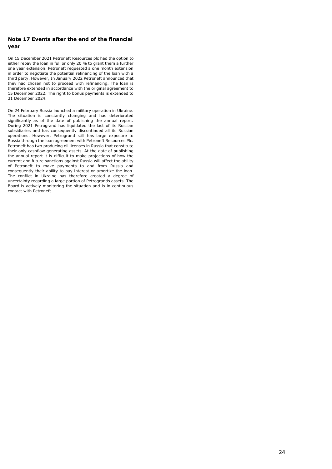## **Note 17 Events after the end of the financial year**

On 15 December 2021 Petroneft Resources plc had the option to either repay the loan in full or only 20 % to grant them a further one year extension. Petroneft requested a one month extension in order to negotiate the potential refinancing of the loan with a third party. However, In January 2022 Petroneft announced that they had chosen not to proceed with refinancing. The loan is therefore extended in accordance with the original agreement to 15 December 2022. The right to bonus payments is extended to 31 December 2024.

On 24 February Russia launched a military operation in Ukraine. The situation is constantly changing and has deteriorated significantly as of the date of publishing the annual report. During 2021 Petrogrand has liquidated the last of its Russian subsidiaries and has consequently discontinued all its Russian operations. However, Petrogrand still has large exposure to Russia through the loan agreement with Petroneft Resources Plc. Petroneft has two producing oil licenses in Russia that constitute their only cashflow generating assets. At the date of publishing the annual report it is difficult to make projections of how the current and future sanctions against Russia will affect the ability of Petroneft to make payments to and from Russia and consequently their ability to pay interest or amortize the loan. The conflict in Ukraine has therefore created a degree of uncertainty regarding a large portion of Petrogrands assets. The Board is actively monitoring the situation and is in continuous contact with Petroneft.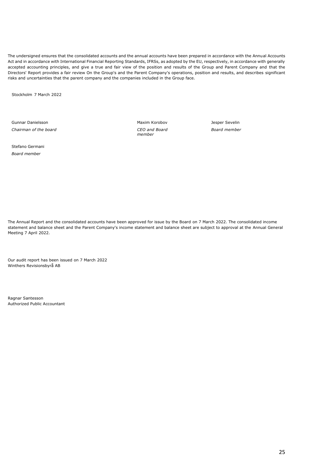The undersigned ensures that the consolidated accounts and the annual accounts have been prepared in accordance with the Annual Accounts Act and in accordance with International Financial Reporting Standards, IFRSs, as adopted by the EU, respectively, in accordance with generally accepted accounting principles, and give a true and fair view of the position and results of the Group and Parent Company and that the Directors' Report provides a fair review On the Group's and the Parent Company's operations, position and results, and describes significant risks and uncertainties that the parent company and the companies included in the Group face.

Stockholm 7 March 2022

Gunnar Danielsson *Chairman of the board* Maxim Korobov *CEO and Board member*

Jesper Sevelin *Board member*

Stefano Germani *Board member*

The Annual Report and the consolidated accounts have been approved for issue by the Board on 7 March 2022. The consolidated income statement and balance sheet and the Parent Company's income statement and balance sheet are subject to approval at the Annual General Meeting 7 April 2022.

Our audit report has been issued on 7 March 2022 Winthers Revisionsbyrå AB

Ragnar Santesson Authorized Public Accountant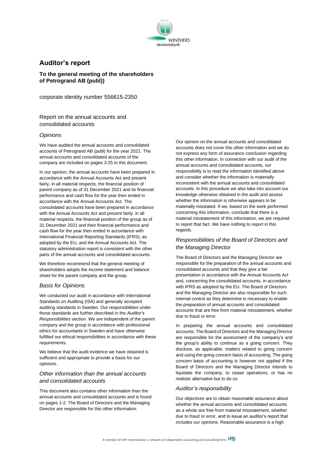

## **Auditor's report**

**To the general meeting of the shareholders of Petrogrand AB (publ))**

corporate identity number 556615-2350

Report on the annual accounts and consolidated accounts

#### *Opinions*

We have audited the annual accounts and consolidated accounts of Petrogrand AB (publ) for the year 2021. The annual accounts and consolidated accounts of the company are included on pages 3-25 in this document.

In our opinion, the annual accounts have been prepared in accordance with the Annual Accounts Act and present fairly, in all material respects, the financial position of parent company as of 31 December 2021 and its financial performance and cash flow for the year then ended in accordance with the Annual Accounts Act. The consolidated accounts have been prepared in accordance with the Annual Accounts Act and present fairly, in all material respects, the financial position of the group as of 31 December 2021 and their financial performance and cash flow for the year then ended in accordance with International Financial Reporting Standards (IFRS), as adopted by the EU, and the Annual Accounts Act. The statutory administration report is consistent with the other parts of the annual accounts and consolidated accounts.

We therefore recommend that the general meeting of shareholders adopts the income statement and balance sheet for the parent company and the group.

#### *Basis for Opinions*

We conducted our audit in accordance with International Standards on Auditing (ISA) and generally accepted auditing standards in Sweden. Our responsibilities under those standards are further described in the *Auditor's Responsibilities* section. We are independent of the parent company and the group in accordance with professional ethics for accountants in Sweden and have otherwise fulfilled our ethical responsibilities in accordance with these requirements.

We believe that the audit evidence we have obtained is sufficient and appropriate to provide a basis for our opinions.

## *Other information than the annual accounts and consolidated accounts*

This document also contains other information than the annual accounts and consolidated accounts and is found on pages 1-2. The Board of Directors and the Managing Director are responsible for this other information.

Our opinion on the annual accounts and consolidated accounts does not cover this other information and we do not express any form of assurance conclusion regarding this other information. In connection with our audit of the annual accounts and consolidated accounts, our responsibility is to read the information identified above and consider whether the information is materially inconsistent with the annual accounts and consolidated accounts. In this procedure we also take into account our knowledge otherwise obtained in the audit and assess whether the information is otherwise appears to be materially misstated. If we, based on the work performed concerning this information, conclude that there is a material misstatement of this information, we are required to report that fact. We have nothing to report in this regards.

## *Responsibilities of the Board of Directors and the Managing Director*

The Board of Directors and the Managing Director are responsible for the preparation of the annual accounts and consolidated accounts and that they give a fair presentation in accordance with the Annual Accounts Act and, concerning the consolidated accounts, in accordance with IFRS as adopted by the EU. The Board of Directors and the Managing Director are also responsible for such internal control as they determine is necessary to enable the preparation of annual accounts and consolidated accounts that are free from material misstatement, whether due to fraud or error.

In preparing the annual accounts and consolidated accounts, The Board of Directors and the Managing Director are responsible for the assessment of the company's and the group's ability to continue as a going concern. They disclose, as applicable, matters related to going concern and using the going concern basis of accounting. The going concern basis of accounting is however not applied if the Board of Directors and the Managing Director intends to liquidate the company, to cease operations, or has no realistic alternative but to do so.

## *Auditor's responsibility*

Our objectives are to obtain reasonable assurance about whether the annual accounts and consolidated accounts as a whole are free from material misstatement, whether due to fraud or error, and to issue an auditor's report that includes our opinions. Reasonable assurance is a high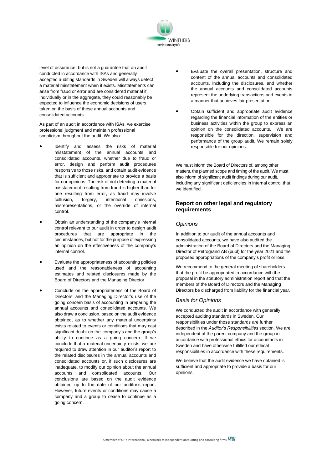

level of assurance, but is not a guarantee that an audit conducted in accordance with ISAs and generally accepted auditing standards in Sweden will always detect a material misstatement when it exists. Misstatements can arise from fraud or error and are considered material if, individually or in the aggregate, they could reasonably be expected to influence the economic decisions of users taken on the basis of these annual accounts and consolidated accounts.

As part of an audit in accordance with ISAs, we exercise professional judgment and maintain professional scepticism throughout the audit. We also:

- Identify and assess the risks of material misstatement of the annual accounts and consolidated accounts, whether due to fraud or error, design and perform audit procedures responsive to those risks, and obtain audit evidence that is sufficient and appropriate to provide a basis for our opinions. The risk of not detecting a material misstatement resulting from fraud is higher than for one resulting from error, as fraud may involve collusion, forgery, intentional omissions, misrepresentations, or the override of internal control.
- Obtain an understanding of the company's internal control relevant to our audit in order to design audit procedures that are appropriate in the circumstances, but not for the purpose of expressing an opinion on the effectiveness of the company's internal control.
- Evaluate the appropriateness of accounting policies used and the reasonableness of accounting estimates and related disclosures made by the Board of Directors and the Managing Director.
- Conclude on the appropriateness of the Board of Directors' and the Managing Director's use of the going concern basis of accounting in preparing the annual accounts and consolidated accounts. We also draw a conclusion, based on the audit evidence obtained, as to whether any material uncertainty exists related to events or conditions that may cast significant doubt on the company's and the group's ability to continue as a going concern. If we conclude that a material uncertainty exists, we are required to draw attention in our auditor's report to the related disclosures in the annual accounts and consolidated accounts or, if such disclosures are inadequate, to modify our opinion about the annual accounts and consolidated accounts. Our conclusions are based on the audit evidence obtained up to the date of our auditor's report. However, future events or conditions may cause a company and a group to cease to continue as a going concern.
- Evaluate the overall presentation, structure and content of the annual accounts and consolidated accounts, including the disclosures, and whether the annual accounts and consolidated accounts represent the underlying transactions and events in a manner that achieves fair presentation.
- Obtain sufficient and appropriate audit evidence regarding the financial information of the entities or business activities within the group to express an opinion on the consolidated accounts. We are responsible for the direction, supervision and performance of the group audit. We remain solely responsible for our opinions.

We must inform the Board of Directors of, among other matters, the planned scope and timing of the audit. We must also inform of significant audit findings during our audit, including any significant deficiencies in internal control that we identified.

## **Report on other legal and regulatory requirements**

#### *Opinions*

In addition to our audit of the annual accounts and consolidated accounts, we have also audited the administration of the Board of Directors and the Managing Director of Petrogrand AB (publ) for the year 2021 and the proposed appropriations of the company's profit or loss.

We recommend to the general meeting of shareholders that the profit be appropriated in accordance with the proposal in the statutory administration report and that the members of the Board of Directors and the Managing Directors be discharged from liability for the financial year.

#### *Basis for Opinions*

We conducted the audit in accordance with generally accepted auditing standards in Sweden. Our responsibilities under those standards are further described in the *Auditor's Responsibilities* section. We are independent of the parent company and the group in accordance with professional ethics for accountants in Sweden and have otherwise fulfilled our ethical responsibilities in accordance with these requirements.

We believe that the audit evidence we have obtained is sufficient and appropriate to provide a basis for our opinions.